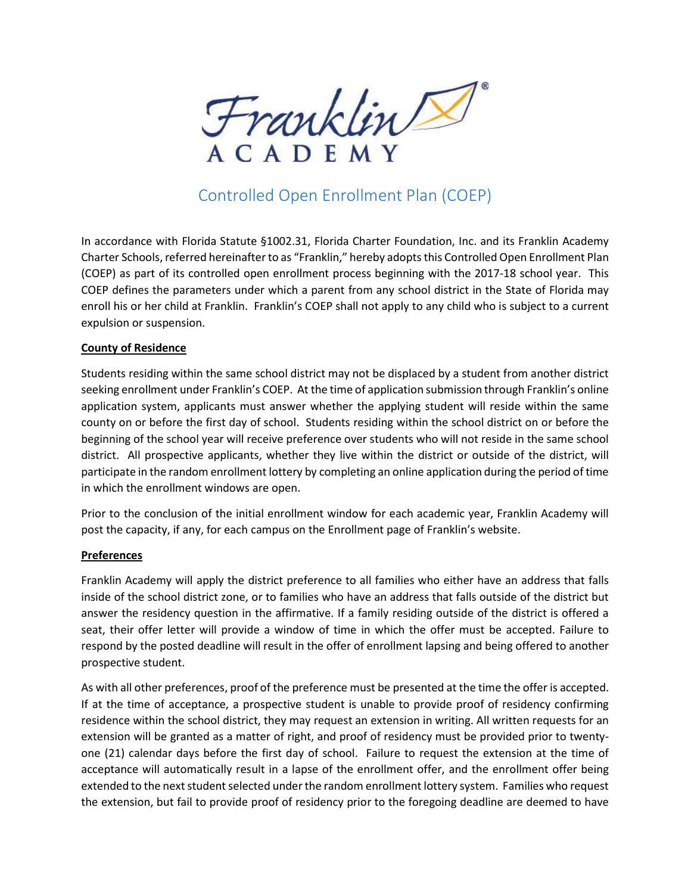

# Controlled Open Enrollment Plan (COEP)

In accordance with Florida Statute §1002.31, Florida Charter Foundation, Inc. and its Franklin Academy Charter Schools, referred hereinafter to as "Franklin," hereby adopts this Controlled Open Enrollment Plan (COEP) as part of its controlled open enrollment process beginning with the 2017-18 school year. This COEP defines the parameters under which a parent from any school district in the State of Florida may enroll his or her child at Franklin. Franklin's COEP shall not apply to any child who is subject to a current expulsion or suspension.

### County of Residence

Students residing within the same school district may not be displaced by a student from another district seeking enrollment under Franklin's COEP. At the time of application submission through Franklin's online application system, applicants must answer whether the applying student will reside within the same county on or before the first day of school. Students residing within the school district on or before the beginning of the school year will receive preference over students who will not reside in the same school district. All prospective applicants, whether they live within the district or outside of the district, will participate in the random enrollment lottery by completing an online application during the period of time in which the enrollment windows are open.

Prior to the conclusion of the initial enrollment window for each academic year, Franklin Academy will post the capacity, if any, for each campus on the Enrollment page of Franklin's website.

### **Preferences**

Franklin Academy will apply the district preference to all families who either have an address that falls inside of the school district zone, or to families who have an address that falls outside of the district but answer the residency question in the affirmative. If a family residing outside of the district is offered a seat, their offer letter will provide a window of time in which the offer must be accepted. Failure to respond by the posted deadline will result in the offer of enrollment lapsing and being offered to another prospective student.

As with all other preferences, proof of the preference must be presented at the time the offer is accepted. If at the time of acceptance, a prospective student is unable to provide proof of residency confirming residence within the school district, they may request an extension in writing. All written requests for an extension will be granted as a matter of right, and proof of residency must be provided prior to twentyone (21) calendar days before the first day of school. Failure to request the extension at the time of acceptance will automatically result in a lapse of the enrollment offer, and the enrollment offer being extended to the next student selected under the random enrollment lottery system. Families who request the extension, but fail to provide proof of residency prior to the foregoing deadline are deemed to have